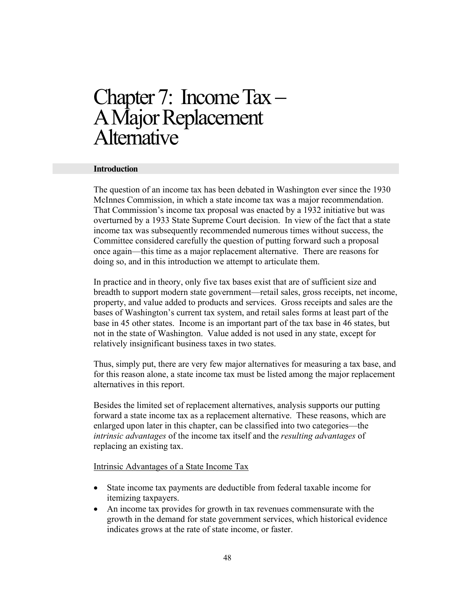# Chapter 7: Income Tax –<br>A Major Replacement **Alternative**

#### **Introduction**

The question of an income tax has been debated in Washington ever since the 1930 McInnes Commission, in which a state income tax was a major recommendation. That Commission's income tax proposal was enacted by a 1932 initiative but was overturned by a 1933 State Supreme Court decision. In view of the fact that a state income tax was subsequently recommended numerous times without success, the Committee considered carefully the question of putting forward such a proposal once again—this time as a major replacement alternative. There are reasons for doing so, and in this introduction we attempt to articulate them.

In practice and in theory, only five tax bases exist that are of sufficient size and breadth to support modern state government—retail sales, gross receipts, net income, property, and value added to products and services. Gross receipts and sales are the bases of Washington's current tax system, and retail sales forms at least part of the base in 45 other states. Income is an important part of the tax base in 46 states, but not in the state of Washington. Value added is not used in any state, except for relatively insignificant business taxes in two states.

Thus, simply put, there are very few major alternatives for measuring a tax base, and for this reason alone, a state income tax must be listed among the major replacement alternatives in this report.

Besides the limited set of replacement alternatives, analysis supports our putting forward a state income tax as a replacement alternative. These reasons, which are enlarged upon later in this chapter, can be classified into two categories—the *intrinsic advantages* of the income tax itself and the *resulting advantages* of replacing an existing tax.

#### Intrinsic Advantages of a State Income Tax

- State income tax payments are deductible from federal taxable income for itemizing taxpayers.
- An income tax provides for growth in tax revenues commensurate with the growth in the demand for state government services, which historical evidence indicates grows at the rate of state income, or faster.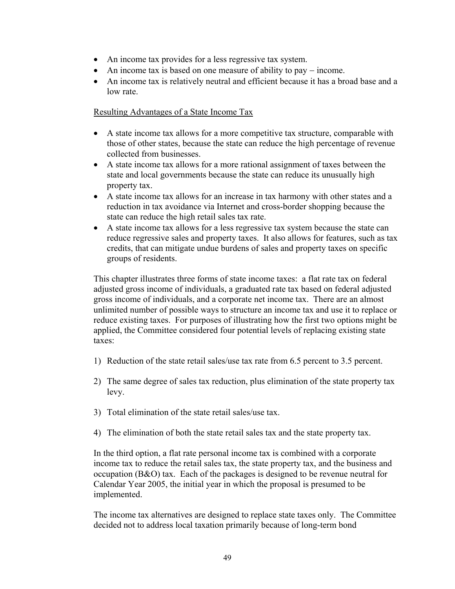- An income tax provides for a less regressive tax system.
- An income tax is based on one measure of ability to pay income.
- An income tax is relatively neutral and efficient because it has a broad base and a low rate.

# Resulting Advantages of a State Income Tax

- A state income tax allows for a more competitive tax structure, comparable with those of other states, because the state can reduce the high percentage of revenue collected from businesses.
- A state income tax allows for a more rational assignment of taxes between the state and local governments because the state can reduce its unusually high property tax.
- A state income tax allows for an increase in tax harmony with other states and a reduction in tax avoidance via Internet and cross-border shopping because the state can reduce the high retail sales tax rate.
- A state income tax allows for a less regressive tax system because the state can reduce regressive sales and property taxes. It also allows for features, such as tax credits, that can mitigate undue burdens of sales and property taxes on specific groups of residents.

This chapter illustrates three forms of state income taxes: a flat rate tax on federal adjusted gross income of individuals, a graduated rate tax based on federal adjusted gross income of individuals, and a corporate net income tax. There are an almost unlimited number of possible ways to structure an income tax and use it to replace or reduce existing taxes. For purposes of illustrating how the first two options might be applied, the Committee considered four potential levels of replacing existing state taxes:

- 1) Reduction of the state retail sales/use tax rate from 6.5 percent to 3.5 percent.
- 2) The same degree of sales tax reduction, plus elimination of the state property tax levy.
- 3) Total elimination of the state retail sales/use tax.
- 4) The elimination of both the state retail sales tax and the state property tax.

In the third option, a flat rate personal income tax is combined with a corporate income tax to reduce the retail sales tax, the state property tax, and the business and occupation (B&O) tax. Each of the packages is designed to be revenue neutral for Calendar Year 2005, the initial year in which the proposal is presumed to be implemented.

The income tax alternatives are designed to replace state taxes only. The Committee decided not to address local taxation primarily because of long-term bond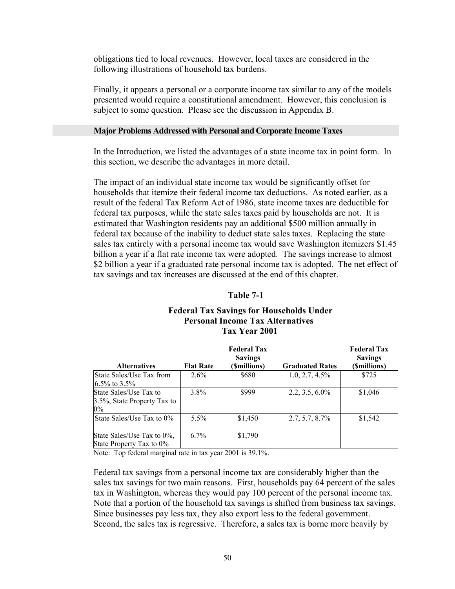obligations tied to local revenues. However, local taxes are considered in the following illustrations of household tax burdens.

Finally, it appears a personal or a corporate income tax similar to any of the models presented would require a constitutional amendment. However, this conclusion is subject to some question. Please see the discussion in Appendix B.

## **Major Problems Addressed with Personal and Corporate Income Taxes**

In the Introduction, we listed the advantages of a state income tax in point form. In this section, we describe the advantages in more detail.

The impact of an individual state income tax would be significantly offset for households that itemize their federal income tax deductions. As noted earlier, as a result of the federal Tax Reform Act of 1986, state income taxes are deductible for federal tax purposes, while the state sales taxes paid by households are not. It is estimated that Washington residents pay an additional \$500 million annually in federal tax because of the inability to deduct state sales taxes. Replacing the state sales tax entirely with a personal income tax would save Washington itemizers \$1.45 billion a year if a flat rate income tax were adopted. The savings increase to almost \$2 billion a year if a graduated rate personal income tax is adopted. The net effect of tax savings and tax increases are discussed at the end of this chapter.

#### **Table 7-1**

# **Federal Tax Savings for Households Under Personal Income Tax Alternatives Tax Year 2001**

|                                                                |                  | <b>Federal Tax</b><br><b>Savings</b> |                        |              |
|----------------------------------------------------------------|------------------|--------------------------------------|------------------------|--------------|
| <b>Alternatives</b>                                            | <b>Flat Rate</b> | (Smillions)                          | <b>Graduated Rates</b> | (\$millions) |
| State Sales/Use Tax from<br>$16.5\%$ to 3.5%                   | $2.6\%$          | \$680                                | $1.0, 2.7, 4.5\%$      | \$725        |
| State Sales/Use Tax to<br>3.5%, State Property Tax to<br>$0\%$ | $3.8\%$          | \$999                                | $2.2, 3.5, 6.0\%$      | \$1,046      |
| State Sales/Use Tax to 0%                                      | $5.5\%$          | \$1,450                              | $2.7, 5.7, 8.7\%$      | \$1,542      |
| State Sales/Use Tax to 0%,<br>State Property Tax to 0%         | $6.7\%$          | \$1,790                              |                        |              |

Note: Top federal marginal rate in tax year 2001 is 39.1%.

Federal tax savings from a personal income tax are considerably higher than the sales tax savings for two main reasons. First, households pay 64 percent of the sales tax in Washington, whereas they would pay 100 percent of the personal income tax. Note that a portion of the household tax savings is shifted from business tax savings. Since businesses pay less tax, they also export less to the federal government. Second, the sales tax is regressive. Therefore, a sales tax is borne more heavily by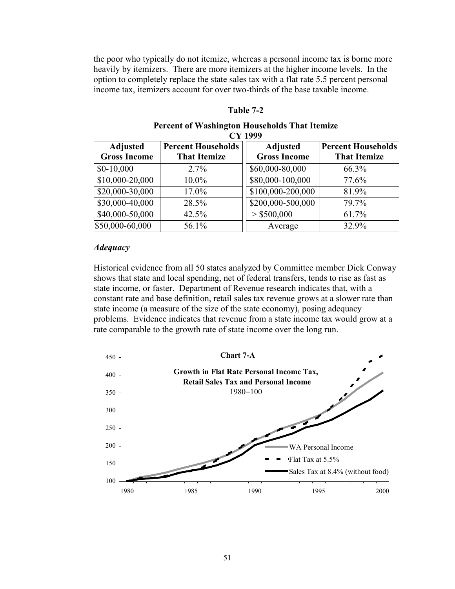the poor who typically do not itemize, whereas a personal income tax is borne more heavily by itemizers. There are more itemizers at the higher income levels. In the option to completely replace the state sales tax with a flat rate 5.5 percent personal income tax, itemizers account for over two-thirds of the base taxable income.

## **Table 7-2**

#### **Percent of Washington Households That Itemize CY 1999**

| <b>Adjusted</b><br><b>Gross Income</b> | <b>Percent Households</b><br><b>That Itemize</b> | <b>Adjusted</b><br><b>Gross Income</b> | <b>Percent Households</b><br><b>That Itemize</b> |
|----------------------------------------|--------------------------------------------------|----------------------------------------|--------------------------------------------------|
| $$0-10,000$                            | $2.7\%$                                          | \$60,000-80,000                        | 66.3%                                            |
| \$10,000-20,000                        | 10.0%                                            | \$80,000-100,000                       | 77.6%                                            |
| \$20,000-30,000                        | 17.0%                                            | \$100,000-200,000                      | 81.9%                                            |
| \$30,000-40,000                        | 28.5%                                            | \$200,000-500,000                      | 79.7%                                            |
| \$40,000-50,000                        | 42.5%                                            | $>$ \$500,000                          | 61.7%                                            |
| \$50,000-60,000                        | 56.1%                                            | Average                                | 32.9%                                            |

#### *Adequacy*

Historical evidence from all 50 states analyzed by Committee member Dick Conway shows that state and local spending, net of federal transfers, tends to rise as fast as state income, or faster. Department of Revenue research indicates that, with a constant rate and base definition, retail sales tax revenue grows at a slower rate than state income (a measure of the size of the state economy), posing adequacy problems. Evidence indicates that revenue from a state income tax would grow at a rate comparable to the growth rate of state income over the long run.

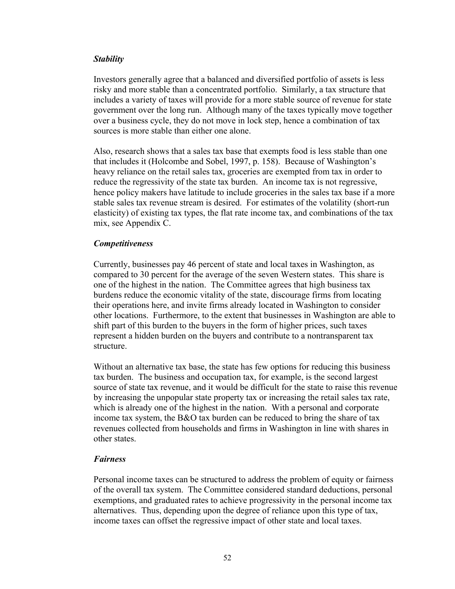# *Stability*

Investors generally agree that a balanced and diversified portfolio of assets is less risky and more stable than a concentrated portfolio. Similarly, a tax structure that includes a variety of taxes will provide for a more stable source of revenue for state government over the long run. Although many of the taxes typically move together over a business cycle, they do not move in lock step, hence a combination of tax sources is more stable than either one alone.

Also, research shows that a sales tax base that exempts food is less stable than one that includes it (Holcombe and Sobel, 1997, p. 158). Because of Washington's heavy reliance on the retail sales tax, groceries are exempted from tax in order to reduce the regressivity of the state tax burden. An income tax is not regressive, hence policy makers have latitude to include groceries in the sales tax base if a more stable sales tax revenue stream is desired. For estimates of the volatility (short-run elasticity) of existing tax types, the flat rate income tax, and combinations of the tax mix, see Appendix C.

# *Competitiveness*

Currently, businesses pay 46 percent of state and local taxes in Washington, as compared to 30 percent for the average of the seven Western states. This share is one of the highest in the nation. The Committee agrees that high business tax burdens reduce the economic vitality of the state, discourage firms from locating their operations here, and invite firms already located in Washington to consider other locations. Furthermore, to the extent that businesses in Washington are able to shift part of this burden to the buyers in the form of higher prices, such taxes represent a hidden burden on the buyers and contribute to a nontransparent tax structure.

Without an alternative tax base, the state has few options for reducing this business tax burden. The business and occupation tax, for example, is the second largest source of state tax revenue, and it would be difficult for the state to raise this revenue by increasing the unpopular state property tax or increasing the retail sales tax rate, which is already one of the highest in the nation. With a personal and corporate income tax system, the B&O tax burden can be reduced to bring the share of tax revenues collected from households and firms in Washington in line with shares in other states.

#### *Fairness*

Personal income taxes can be structured to address the problem of equity or fairness of the overall tax system. The Committee considered standard deductions, personal exemptions, and graduated rates to achieve progressivity in the personal income tax alternatives. Thus, depending upon the degree of reliance upon this type of tax, income taxes can offset the regressive impact of other state and local taxes.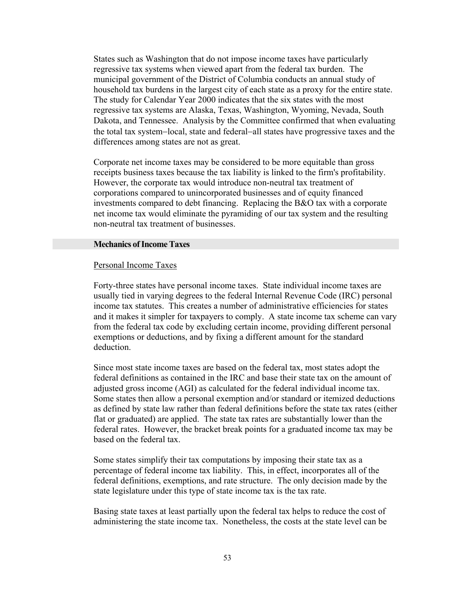States such as Washington that do not impose income taxes have particularly regressive tax systems when viewed apart from the federal tax burden. The municipal government of the District of Columbia conducts an annual study of household tax burdens in the largest city of each state as a proxy for the entire state. The study for Calendar Year 2000 indicates that the six states with the most regressive tax systems are Alaska, Texas, Washington, Wyoming, Nevada, South Dakota, and Tennessee. Analysis by the Committee confirmed that when evaluating the total tax system−local, state and federal−all states have progressive taxes and the differences among states are not as great.

Corporate net income taxes may be considered to be more equitable than gross receipts business taxes because the tax liability is linked to the firm's profitability. However, the corporate tax would introduce non-neutral tax treatment of corporations compared to unincorporated businesses and of equity financed investments compared to debt financing. Replacing the B&O tax with a corporate net income tax would eliminate the pyramiding of our tax system and the resulting non-neutral tax treatment of businesses.

#### **Mechanics of Income Taxes**

#### Personal Income Taxes

Forty-three states have personal income taxes. State individual income taxes are usually tied in varying degrees to the federal Internal Revenue Code (IRC) personal income tax statutes. This creates a number of administrative efficiencies for states and it makes it simpler for taxpayers to comply. A state income tax scheme can vary from the federal tax code by excluding certain income, providing different personal exemptions or deductions, and by fixing a different amount for the standard deduction.

Since most state income taxes are based on the federal tax, most states adopt the federal definitions as contained in the IRC and base their state tax on the amount of adjusted gross income (AGI) as calculated for the federal individual income tax. Some states then allow a personal exemption and/or standard or itemized deductions as defined by state law rather than federal definitions before the state tax rates (either flat or graduated) are applied. The state tax rates are substantially lower than the federal rates. However, the bracket break points for a graduated income tax may be based on the federal tax.

Some states simplify their tax computations by imposing their state tax as a percentage of federal income tax liability. This, in effect, incorporates all of the federal definitions, exemptions, and rate structure. The only decision made by the state legislature under this type of state income tax is the tax rate.

Basing state taxes at least partially upon the federal tax helps to reduce the cost of administering the state income tax. Nonetheless, the costs at the state level can be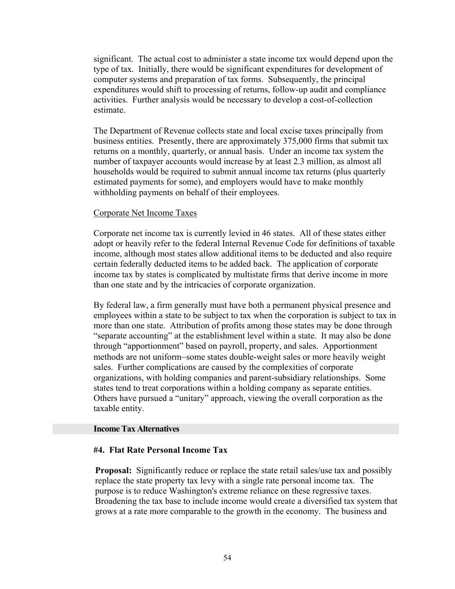significant. The actual cost to administer a state income tax would depend upon the type of tax. Initially, there would be significant expenditures for development of computer systems and preparation of tax forms. Subsequently, the principal expenditures would shift to processing of returns, follow-up audit and compliance activities. Further analysis would be necessary to develop a cost-of-collection estimate.

The Department of Revenue collects state and local excise taxes principally from business entities. Presently, there are approximately 375,000 firms that submit tax returns on a monthly, quarterly, or annual basis. Under an income tax system the number of taxpayer accounts would increase by at least 2.3 million, as almost all households would be required to submit annual income tax returns (plus quarterly estimated payments for some), and employers would have to make monthly withholding payments on behalf of their employees.

# Corporate Net Income Taxes

Corporate net income tax is currently levied in 46 states. All of these states either adopt or heavily refer to the federal Internal Revenue Code for definitions of taxable income, although most states allow additional items to be deducted and also require certain federally deducted items to be added back. The application of corporate income tax by states is complicated by multistate firms that derive income in more than one state and by the intricacies of corporate organization.

By federal law, a firm generally must have both a permanent physical presence and employees within a state to be subject to tax when the corporation is subject to tax in more than one state. Attribution of profits among those states may be done through "separate accounting" at the establishment level within a state. It may also be done through "apportionment" based on payroll, property, and sales. Apportionment methods are not uniform−some states double-weight sales or more heavily weight sales. Further complications are caused by the complexities of corporate organizations, with holding companies and parent-subsidiary relationships. Some states tend to treat corporations within a holding company as separate entities. Others have pursued a "unitary" approach, viewing the overall corporation as the taxable entity.

#### **Income Tax Alternatives**

# **#4. Flat Rate Personal Income Tax**

**Proposal:** Significantly reduce or replace the state retail sales/use tax and possibly replace the state property tax levy with a single rate personal income tax. The purpose is to reduce Washington's extreme reliance on these regressive taxes. Broadening the tax base to include income would create a diversified tax system that grows at a rate more comparable to the growth in the economy. The business and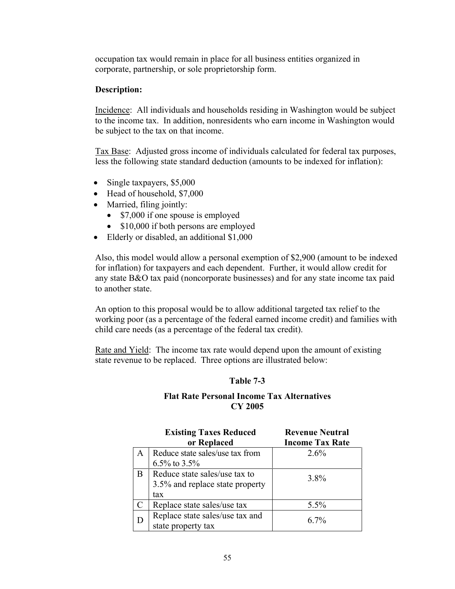occupation tax would remain in place for all business entities organized in corporate, partnership, or sole proprietorship form.

# **Description:**

Incidence: All individuals and households residing in Washington would be subject to the income tax. In addition, nonresidents who earn income in Washington would be subject to the tax on that income.

Tax Base: Adjusted gross income of individuals calculated for federal tax purposes, less the following state standard deduction (amounts to be indexed for inflation):

- Single taxpayers, \$5,000
- Head of household, \$7,000
- Married, filing jointly:
	- \$7,000 if one spouse is employed
	- \$10,000 if both persons are employed
- Elderly or disabled, an additional \$1,000

Also, this model would allow a personal exemption of \$2,900 (amount to be indexed for inflation) for taxpayers and each dependent. Further, it would allow credit for any state B&O tax paid (noncorporate businesses) and for any state income tax paid to another state.

An option to this proposal would be to allow additional targeted tax relief to the working poor (as a percentage of the federal earned income credit) and families with child care needs (as a percentage of the federal tax credit).

Rate and Yield: The income tax rate would depend upon the amount of existing state revenue to be replaced. Three options are illustrated below:

# **Table 7-3**

# **Flat Rate Personal Income Tax Alternatives CY 2005**

|    | <b>Existing Taxes Reduced</b><br>or Replaced | <b>Revenue Neutral</b><br><b>Income Tax Rate</b> |
|----|----------------------------------------------|--------------------------------------------------|
| A  | Reduce state sales/use tax from              | 2.6%                                             |
|    | 6.5% to 3.5%                                 |                                                  |
| B. | Reduce state sales/use tax to                | 3.8%                                             |
|    | 3.5% and replace state property              |                                                  |
|    | tax                                          |                                                  |
|    | Replace state sales/use tax                  | 5.5%                                             |
|    | Replace state sales/use tax and              | 67%                                              |
|    | state property tax                           |                                                  |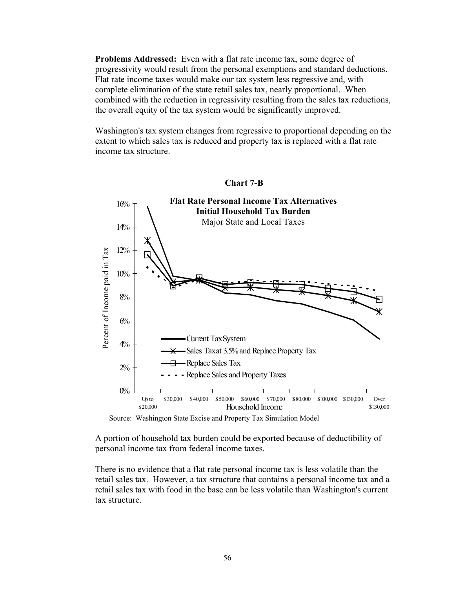**Problems Addressed:** Even with a flat rate income tax, some degree of progressivity would result from the personal exemptions and standard deductions. Flat rate income taxes would make our tax system less regressive and, with complete elimination of the state retail sales tax, nearly proportional. When combined with the reduction in regressivity resulting from the sales tax reductions, the overall equity of the tax system would be significantly improved.

Washington's tax system changes from regressive to proportional depending on the extent to which sales tax is reduced and property tax is replaced with a flat rate income tax structure.



#### **Chart 7-B**

Source: Washington State Excise and Property Tax Simulation Model

A portion of household tax burden could be exported because of deductibility of personal income tax from federal income taxes.

There is no evidence that a flat rate personal income tax is less volatile than the retail sales tax. However, a tax structure that contains a personal income tax and a retail sales tax with food in the base can be less volatile than Washington's current tax structure.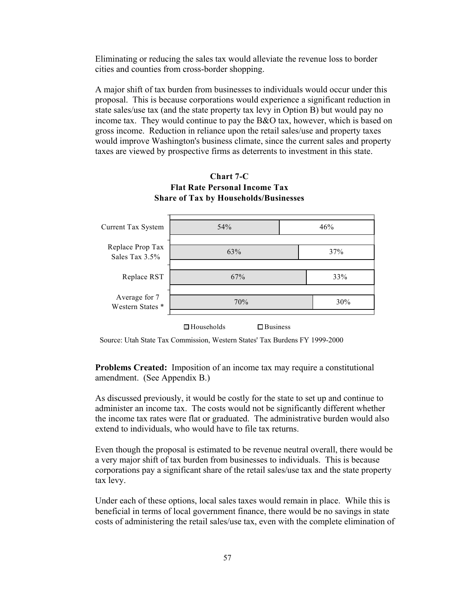Eliminating or reducing the sales tax would alleviate the revenue loss to border cities and counties from cross-border shopping.

A major shift of tax burden from businesses to individuals would occur under this proposal. This is because corporations would experience a significant reduction in state sales/use tax (and the state property tax levy in Option B) but would pay no income tax. They would continue to pay the B&O tax, however, which is based on gross income. Reduction in reliance upon the retail sales/use and property taxes would improve Washington's business climate, since the current sales and property taxes are viewed by prospective firms as deterrents to investment in this state.



# **Chart 7-C**

Source: Utah State Tax Commission, Western States' Tax Burdens FY 1999-2000

**Problems Created:** Imposition of an income tax may require a constitutional amendment.(See Appendix B.)

As discussed previously, it would be costly for the state to set up and continue to administer an income tax. The costs would not be significantly different whether the income tax rates were flat or graduated. The administrative burden would also extend to individuals, who would have to file tax returns.

Even though the proposal is estimated to be revenue neutral overall, there would be a very major shift of tax burden from businesses to individuals. This is because corporations pay a significant share of the retail sales/use tax and the state property tax levy.

Under each of these options, local sales taxes would remain in place. While this is beneficial in terms of local government finance, there would be no savings in state costs of administering the retail sales/use tax, even with the complete elimination of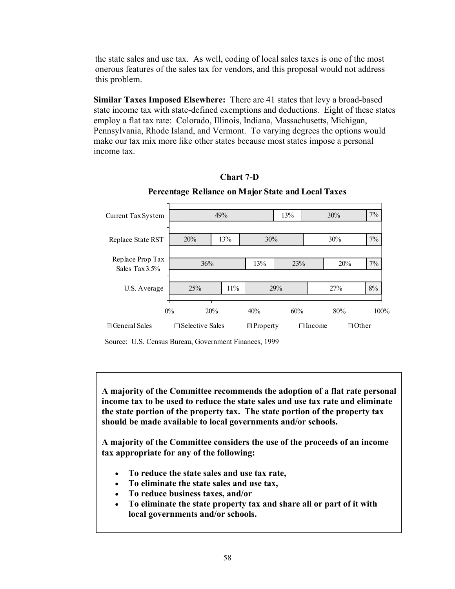the state sales and use tax. As well, coding of local sales taxes is one of the most onerous features of the sales tax for vendors, and this proposal would not address this problem.

**Similar Taxes Imposed Elsewhere:** There are 41 states that levy a broad-based state income tax with state-defined exemptions and deductions. Eight of these states employ a flat tax rate: Colorado, Illinois, Indiana, Massachusetts, Michigan, Pennsylvania, Rhode Island, and Vermont. To varying degrees the options would make our tax mix more like other states because most states impose a personal income tax.





**Percentage Reliance on Major State and Local Taxes**

Source: U.S. Census Bureau, Government Finances, 1999

**A majority of the Committee recommends the adoption of a flat rate personal income tax to be used to reduce the state sales and use tax rate and eliminate the state portion of the property tax. The state portion of the property tax should be made available to local governments and/or schools.**

**A majority of the Committee considers the use of the proceeds of an income tax appropriate for any of the following:**

- **To reduce the state sales and use tax rate,**
- **To eliminate the state sales and use tax,**
- **To reduce business taxes, and/or**
- **To eliminate the state property tax and share all or part of it with local governments and/or schools.**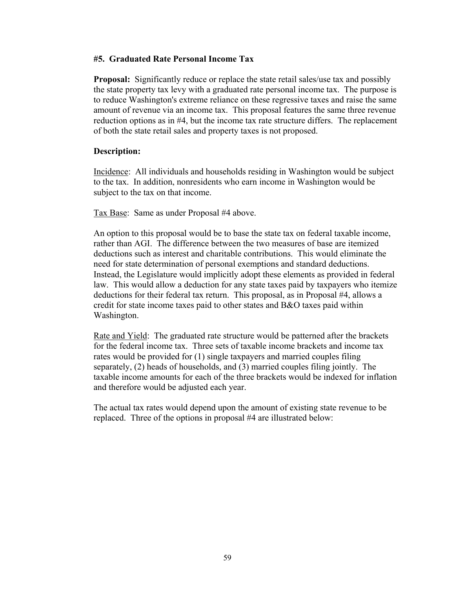# **#5. Graduated Rate Personal Income Tax**

**Proposal:** Significantly reduce or replace the state retail sales/use tax and possibly the state property tax levy with a graduated rate personal income tax. The purpose is to reduce Washington's extreme reliance on these regressive taxes and raise the same amount of revenue via an income tax. This proposal features the same three revenue reduction options as in #4, but the income tax rate structure differs. The replacement of both the state retail sales and property taxes is not proposed.

# **Description:**

Incidence: All individuals and households residing in Washington would be subject to the tax. In addition, nonresidents who earn income in Washington would be subject to the tax on that income.

Tax Base: Same as under Proposal #4 above.

An option to this proposal would be to base the state tax on federal taxable income, rather than AGI. The difference between the two measures of base are itemized deductions such as interest and charitable contributions. This would eliminate the need for state determination of personal exemptions and standard deductions. Instead, the Legislature would implicitly adopt these elements as provided in federal law. This would allow a deduction for any state taxes paid by taxpayers who itemize deductions for their federal tax return. This proposal, as in Proposal #4, allows a credit for state income taxes paid to other states and B&O taxes paid within Washington.

Rate and Yield: The graduated rate structure would be patterned after the brackets for the federal income tax. Three sets of taxable income brackets and income tax rates would be provided for (1) single taxpayers and married couples filing separately, (2) heads of households, and (3) married couples filing jointly. The taxable income amounts for each of the three brackets would be indexed for inflation and therefore would be adjusted each year.

The actual tax rates would depend upon the amount of existing state revenue to be replaced. Three of the options in proposal #4 are illustrated below: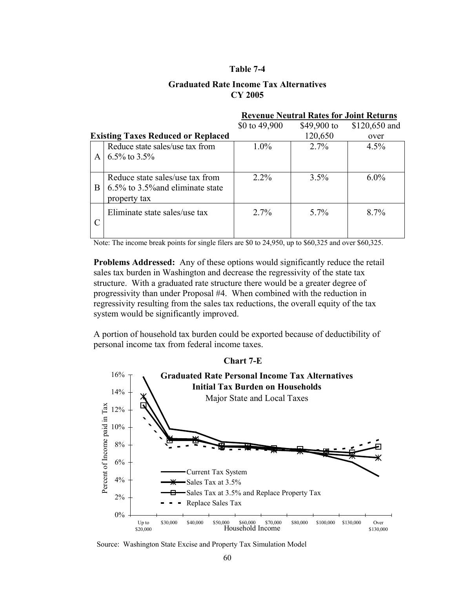#### **Graduated Rate Income Tax Alternatives CY 2005**

|                                           |                                                                                     | <b>Revenue Neutral Rates for Joint Returns</b> |             |               |  |  |
|-------------------------------------------|-------------------------------------------------------------------------------------|------------------------------------------------|-------------|---------------|--|--|
|                                           |                                                                                     | \$0 to 49,900                                  | \$49,900 to | \$120,650 and |  |  |
| <b>Existing Taxes Reduced or Replaced</b> |                                                                                     |                                                | 120,650     | over          |  |  |
|                                           | Reduce state sales/use tax from<br>6.5% to $3.5\%$                                  | $1.0\%$                                        | $2.7\%$     | 4.5%          |  |  |
| <sub>B</sub>                              | Reduce state sales/use tax from<br>6.5% to 3.5% and eliminate state<br>property tax | $2.2\%$                                        | 3.5%        | $6.0\%$       |  |  |
|                                           | Eliminate state sales/use tax                                                       | $2.7\%$                                        | $5.7\%$     | $8.7\%$       |  |  |

Note: The income break points for single filers are \$0 to 24,950, up to \$60,325 and over \$60,325.

**Problems Addressed:** Any of these options would significantly reduce the retail sales tax burden in Washington and decrease the regressivity of the state tax structure. With a graduated rate structure there would be a greater degree of progressivity than under Proposal #4. When combined with the reduction in regressivity resulting from the sales tax reductions, the overall equity of the tax system would be significantly improved.

A portion of household tax burden could be exported because of deductibility of personal income tax from federal income taxes.



Source: Washington State Excise and Property Tax Simulation Model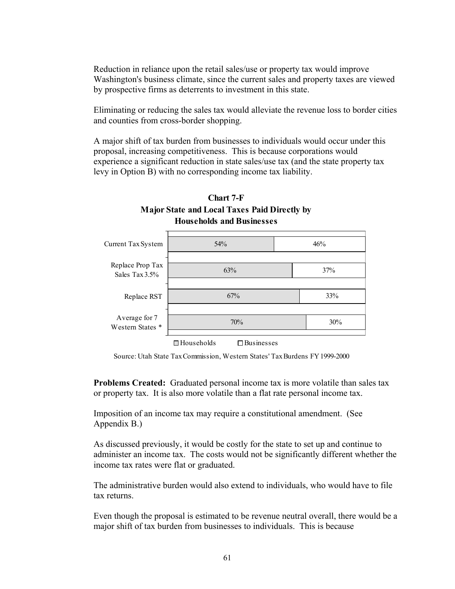Reduction in reliance upon the retail sales/use or property tax would improve Washington's business climate, since the current sales and property taxes are viewed by prospective firms as deterrents to investment in this state.

Eliminating or reducing the sales tax would alleviate the revenue loss to border cities and counties from cross-border shopping.

A major shift of tax burden from businesses to individuals would occur under this proposal, increasing competitiveness. This is because corporations would experience a significant reduction in state sales/use tax (and the state property tax levy in Option B) with no corresponding income tax liability.



# **Chart 7-F Major State and Local Taxes Paid Directly by**

**Problems Created:** Graduated personal income tax is more volatile than sales tax or property tax. It is also more volatile than a flat rate personal income tax.

Imposition of an income tax may require a constitutional amendment. (See Appendix B.)

As discussed previously, it would be costly for the state to set up and continue to administer an income tax. The costs would not be significantly different whether the income tax rates were flat or graduated.

The administrative burden would also extend to individuals, who would have to file tax returns.

Even though the proposal is estimated to be revenue neutral overall, there would be a major shift of tax burden from businesses to individuals. This is because

Source: Utah State Tax Commission, Western States' Tax Burdens FY 1999-2000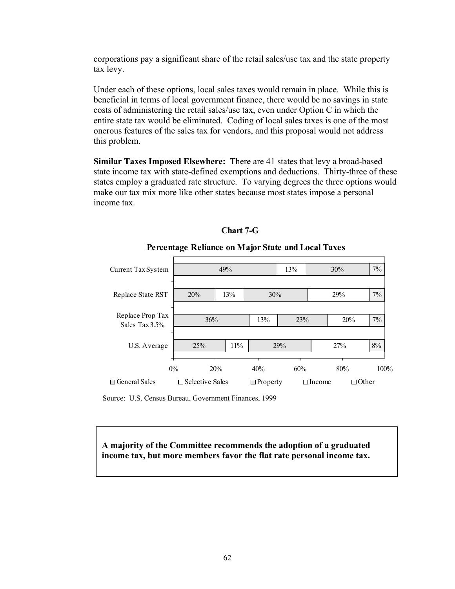corporations pay a significant share of the retail sales/use tax and the state property tax levy.

Under each of these options, local sales taxes would remain in place. While this is beneficial in terms of local government finance, there would be no savings in state costs of administering the retail sales/use tax, even under Option C in which the entire state tax would be eliminated. Coding of local sales taxes is one of the most onerous features of the sales tax for vendors, and this proposal would not address this problem.

**Similar Taxes Imposed Elsewhere:** There are 41 states that levy a broad-based state income tax with state-defined exemptions and deductions. Thirty-three of these states employ a graduated rate structure. To varying degrees the three options would make our tax mix more like other states because most states impose a personal income tax.



**Chart 7-G**

# **Percentage Reliance on Major State and Local Taxes**

Source: U.S. Census Bureau, Government Finances, 1999

**A majority of the Committee recommends the adoption of a graduated income tax, but more members favor the flat rate personal income tax.**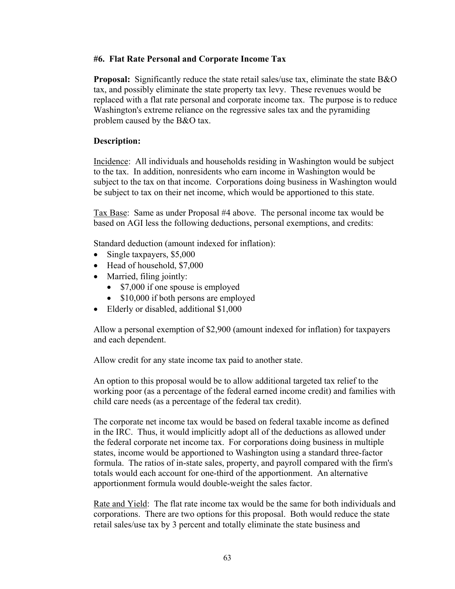# **#6. Flat Rate Personal and Corporate Income Tax**

**Proposal:** Significantly reduce the state retail sales/use tax, eliminate the state B&O tax, and possibly eliminate the state property tax levy. These revenues would be replaced with a flat rate personal and corporate income tax. The purpose is to reduce Washington's extreme reliance on the regressive sales tax and the pyramiding problem caused by the B&O tax.

# **Description:**

Incidence: All individuals and households residing in Washington would be subject to the tax. In addition, nonresidents who earn income in Washington would be subject to the tax on that income. Corporations doing business in Washington would be subject to tax on their net income, which would be apportioned to this state.

Tax Base: Same as under Proposal #4 above. The personal income tax would be based on AGI less the following deductions, personal exemptions, and credits:

Standard deduction (amount indexed for inflation):

- Single taxpayers, \$5,000
- Head of household, \$7,000
- Married, filing jointly:
	- \$7,000 if one spouse is employed
	- \$10,000 if both persons are employed
- Elderly or disabled, additional \$1,000

Allow a personal exemption of \$2,900 (amount indexed for inflation) for taxpayers and each dependent.

Allow credit for any state income tax paid to another state.

An option to this proposal would be to allow additional targeted tax relief to the working poor (as a percentage of the federal earned income credit) and families with child care needs (as a percentage of the federal tax credit).

The corporate net income tax would be based on federal taxable income as defined in the IRC. Thus, it would implicitly adopt all of the deductions as allowed under the federal corporate net income tax. For corporations doing business in multiple states, income would be apportioned to Washington using a standard three-factor formula. The ratios of in-state sales, property, and payroll compared with the firm's totals would each account for one-third of the apportionment. An alternative apportionment formula would double-weight the sales factor.

Rate and Yield: The flat rate income tax would be the same for both individuals and corporations. There are two options for this proposal. Both would reduce the state retail sales/use tax by 3 percent and totally eliminate the state business and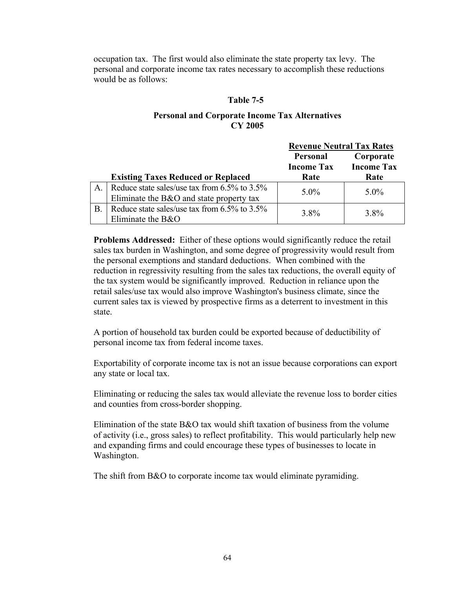occupation tax. The first would also eliminate the state property tax levy. The personal and corporate income tax rates necessary to accomplish these reductions would be as follows:

# **Table 7-5**

# **Personal and Corporate Income Tax Alternatives CY 2005**

|           |                                                                                          | <b>Revenue Neutral Tax Rates</b> |                                |  |
|-----------|------------------------------------------------------------------------------------------|----------------------------------|--------------------------------|--|
|           |                                                                                          | <b>Personal</b>                  | Corporate<br><b>Income Tax</b> |  |
|           | <b>Existing Taxes Reduced or Replaced</b>                                                | <b>Income Tax</b><br>Rate        | Rate                           |  |
| A.        | Reduce state sales/use tax from 6.5% to 3.5%<br>Eliminate the B&O and state property tax | $5.0\%$                          | $5.0\%$                        |  |
| <b>B.</b> | Reduce state sales/use tax from 6.5% to 3.5%<br>Eliminate the $B&O$                      | 3.8%                             | 3.8%                           |  |

**Problems Addressed:** Either of these options would significantly reduce the retail sales tax burden in Washington, and some degree of progressivity would result from the personal exemptions and standard deductions. When combined with the reduction in regressivity resulting from the sales tax reductions, the overall equity of the tax system would be significantly improved. Reduction in reliance upon the retail sales/use tax would also improve Washington's business climate, since the current sales tax is viewed by prospective firms as a deterrent to investment in this state.

A portion of household tax burden could be exported because of deductibility of personal income tax from federal income taxes.

Exportability of corporate income tax is not an issue because corporations can export any state or local tax.

Eliminating or reducing the sales tax would alleviate the revenue loss to border cities and counties from cross-border shopping.

Elimination of the state B&O tax would shift taxation of business from the volume of activity (i.e., gross sales) to reflect profitability. This would particularly help new and expanding firms and could encourage these types of businesses to locate in Washington.

The shift from B&O to corporate income tax would eliminate pyramiding.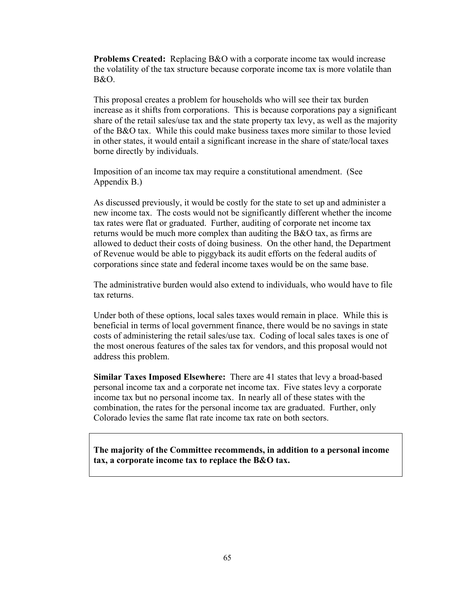**Problems Created:** Replacing B&O with a corporate income tax would increase the volatility of the tax structure because corporate income tax is more volatile than B&O.

This proposal creates a problem for households who will see their tax burden increase as it shifts from corporations. This is because corporations pay a significant share of the retail sales/use tax and the state property tax levy, as well as the majority of the B&O tax. While this could make business taxes more similar to those levied in other states, it would entail a significant increase in the share of state/local taxes borne directly by individuals.

Imposition of an income tax may require a constitutional amendment. (See Appendix B.)

As discussed previously, it would be costly for the state to set up and administer a new income tax. The costs would not be significantly different whether the income tax rates were flat or graduated. Further, auditing of corporate net income tax returns would be much more complex than auditing the B&O tax, as firms are allowed to deduct their costs of doing business. On the other hand, the Department of Revenue would be able to piggyback its audit efforts on the federal audits of corporations since state and federal income taxes would be on the same base.

The administrative burden would also extend to individuals, who would have to file tax returns.

Under both of these options, local sales taxes would remain in place. While this is beneficial in terms of local government finance, there would be no savings in state costs of administering the retail sales/use tax. Coding of local sales taxes is one of the most onerous features of the sales tax for vendors, and this proposal would not address this problem.

**Similar Taxes Imposed Elsewhere:** There are 41 states that levy a broad-based personal income tax and a corporate net income tax. Five states levy a corporate income tax but no personal income tax. In nearly all of these states with the combination, the rates for the personal income tax are graduated. Further, only Colorado levies the same flat rate income tax rate on both sectors.

**The majority of the Committee recommends, in addition to a personal income tax, a corporate income tax to replace the B&O tax.**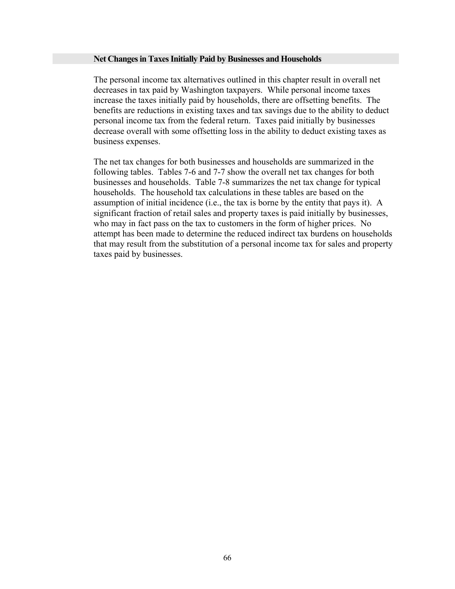#### **Net Changes in Taxes Initially Paid by Businesses and Households**

The personal income tax alternatives outlined in this chapter result in overall net decreases in tax paid by Washington taxpayers. While personal income taxes increase the taxes initially paid by households, there are offsetting benefits. The benefits are reductions in existing taxes and tax savings due to the ability to deduct personal income tax from the federal return. Taxes paid initially by businesses decrease overall with some offsetting loss in the ability to deduct existing taxes as business expenses.

The net tax changes for both businesses and households are summarized in the following tables. Tables 7-6 and 7-7 show the overall net tax changes for both businesses and households. Table 7-8 summarizes the net tax change for typical households. The household tax calculations in these tables are based on the assumption of initial incidence (i.e., the tax is borne by the entity that pays it). A significant fraction of retail sales and property taxes is paid initially by businesses, who may in fact pass on the tax to customers in the form of higher prices. No attempt has been made to determine the reduced indirect tax burdens on households that may result from the substitution of a personal income tax for sales and property taxes paid by businesses.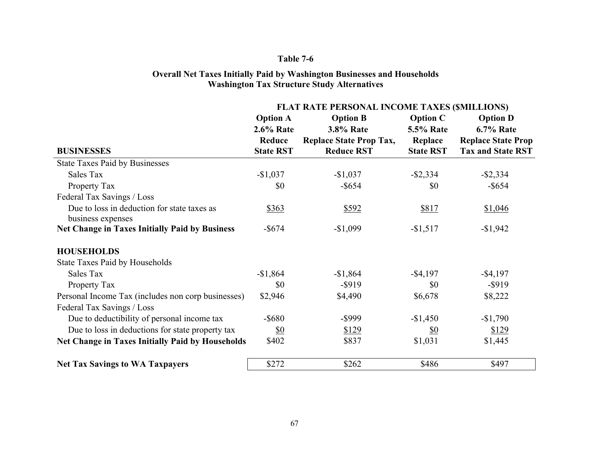## **Overall Net Taxes Initially Paid by Washington Businesses and Households Washington Tax Structure Study Alternatives**

|                                                                  | FLAT RATE PERSONAL INCOME TAXES (SMILLIONS) |                                |                  |                           |  |  |
|------------------------------------------------------------------|---------------------------------------------|--------------------------------|------------------|---------------------------|--|--|
|                                                                  | <b>Option A</b>                             | <b>Option B</b>                | <b>Option C</b>  | <b>Option D</b>           |  |  |
|                                                                  | <b>2.6% Rate</b>                            | <b>3.8% Rate</b>               | <b>5.5% Rate</b> | <b>6.7% Rate</b>          |  |  |
|                                                                  | Reduce                                      | <b>Replace State Prop Tax,</b> | Replace          | <b>Replace State Prop</b> |  |  |
| <b>BUSINESSES</b>                                                | <b>State RST</b>                            | <b>Reduce RST</b>              | <b>State RST</b> | <b>Tax and State RST</b>  |  |  |
| <b>State Taxes Paid by Businesses</b>                            |                                             |                                |                  |                           |  |  |
| Sales Tax                                                        | $-$1,037$                                   | $-$1,037$                      | $-$ \$2,334      | $-$ \$2,334               |  |  |
| Property Tax                                                     | \$0                                         | $-$ \$654                      | \$0              | $-$ \$654                 |  |  |
| Federal Tax Savings / Loss                                       |                                             |                                |                  |                           |  |  |
| Due to loss in deduction for state taxes as<br>business expenses | \$363                                       | \$592                          | \$817            | \$1,046                   |  |  |
| <b>Net Change in Taxes Initially Paid by Business</b>            | $-$ \$674                                   | $-$1,099$                      | $-$1,517$        | $-$1,942$                 |  |  |
| <b>HOUSEHOLDS</b>                                                |                                             |                                |                  |                           |  |  |
| <b>State Taxes Paid by Households</b>                            |                                             |                                |                  |                           |  |  |
| Sales Tax                                                        | $-$1,864$                                   | $-$1,864$                      | $-$ \$4,197      | $-$ \$4,197               |  |  |
| Property Tax                                                     | \$0                                         | $-$ \$919                      | \$0              | $-$ \$919                 |  |  |
| Personal Income Tax (includes non corp businesses)               | \$2,946                                     | \$4,490                        | \$6,678          | \$8,222                   |  |  |
| Federal Tax Savings / Loss                                       |                                             |                                |                  |                           |  |  |
| Due to deductibility of personal income tax                      | $-$ \$680                                   | -\$999                         | $-$1,450$        | $-$1,790$                 |  |  |
| Due to loss in deductions for state property tax                 | <u>\$0</u>                                  | \$129                          | <u>\$0</u>       | \$129                     |  |  |
| <b>Net Change in Taxes Initially Paid by Households</b>          | \$402                                       | \$837                          | \$1,031          | \$1,445                   |  |  |
| <b>Net Tax Savings to WA Taxpayers</b>                           | \$272                                       | \$262                          | \$486            | \$497                     |  |  |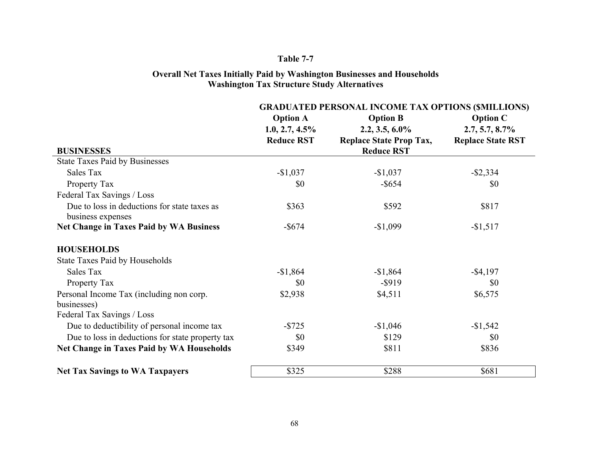#### **Overall Net Taxes Initially Paid by Washington Businesses and Households Washington Tax Structure Study Alternatives**

|                                                                   | <b>GRADUATED PERSONAL INCOME TAX OPTIONS (SMILLIONS)</b> |                                |                          |  |  |
|-------------------------------------------------------------------|----------------------------------------------------------|--------------------------------|--------------------------|--|--|
|                                                                   | <b>Option A</b>                                          | <b>Option B</b>                | <b>Option C</b>          |  |  |
|                                                                   | $1.0, 2.7, 4.5\%$                                        | $2.2, 3.5, 6.0\%$              | $2.7, 5.7, 8.7\%$        |  |  |
|                                                                   | <b>Reduce RST</b>                                        | <b>Replace State Prop Tax,</b> | <b>Replace State RST</b> |  |  |
| <b>BUSINESSES</b>                                                 |                                                          | <b>Reduce RST</b>              |                          |  |  |
| <b>State Taxes Paid by Businesses</b>                             |                                                          |                                |                          |  |  |
| Sales Tax                                                         | $-$1,037$                                                | $-$1,037$                      | $-$ \$2,334              |  |  |
| Property Tax                                                      | \$0                                                      | $-$ \$654                      | \$0                      |  |  |
| Federal Tax Savings / Loss                                        |                                                          |                                |                          |  |  |
| Due to loss in deductions for state taxes as<br>business expenses | \$363                                                    | \$592                          | \$817                    |  |  |
| <b>Net Change in Taxes Paid by WA Business</b>                    | $-$ \$674                                                | $-$1,099$                      | $-$1,517$                |  |  |
| <b>HOUSEHOLDS</b>                                                 |                                                          |                                |                          |  |  |
| <b>State Taxes Paid by Households</b>                             |                                                          |                                |                          |  |  |
| Sales Tax                                                         | $-$1,864$                                                | $-$1,864$                      | $-$ \$4,197              |  |  |
| Property Tax                                                      | \$0                                                      | $-$ \$919                      | \$0                      |  |  |
| Personal Income Tax (including non corp.                          | \$2,938                                                  | \$4,511                        | \$6,575                  |  |  |
| businesses)                                                       |                                                          |                                |                          |  |  |
| Federal Tax Savings / Loss                                        |                                                          |                                |                          |  |  |
| Due to deductibility of personal income tax                       | $-$ \$725                                                | $-$1,046$                      | $-$1,542$                |  |  |
| Due to loss in deductions for state property tax                  | \$0                                                      | \$129                          | \$0                      |  |  |
| <b>Net Change in Taxes Paid by WA Households</b>                  | \$349                                                    | \$811                          | \$836                    |  |  |
| <b>Net Tax Savings to WA Taxpayers</b>                            | \$325                                                    | \$288                          | \$681                    |  |  |